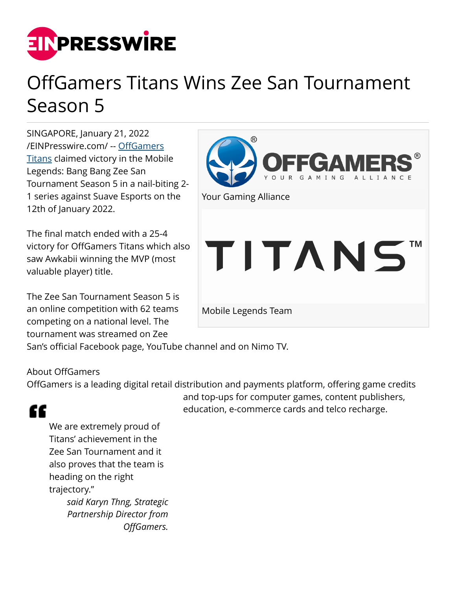

## OffGamers Titans Wins Zee San Tournament Season 5

SINGAPORE, January 21, 2022 [/EINPresswire.com/](http://www.einpresswire.com) -- [OffGamers](http://www.offgamers.com) **[Titans](http://www.facebook.com/OffGamers.gg) claimed victory in the Mobile** Legends: Bang Bang Zee San Tournament Season 5 in a nail-biting 2- 1 series against Suave Esports on the 12th of January 2022.

The final match ended with a 25-4 victory for OffGamers Titans which also saw Awkabii winning the MVP (most valuable player) title.

The Zee San Tournament Season 5 is an online competition with 62 teams competing on a national level. The tournament was streamed on Zee



San's official Facebook page, YouTube channel and on Nimo TV.

## About OffGamers

OffGamers is a leading digital retail distribution and payments platform, offering game credits

## and top-ups for computer games, content publishers, education, e-commerce cards and telco recharge.

## ££

We are extremely proud of Titans' achievement in the Zee San Tournament and it also proves that the team is heading on the right trajectory." *said Karyn Thng, Strategic Partnership Director from OffGamers.*